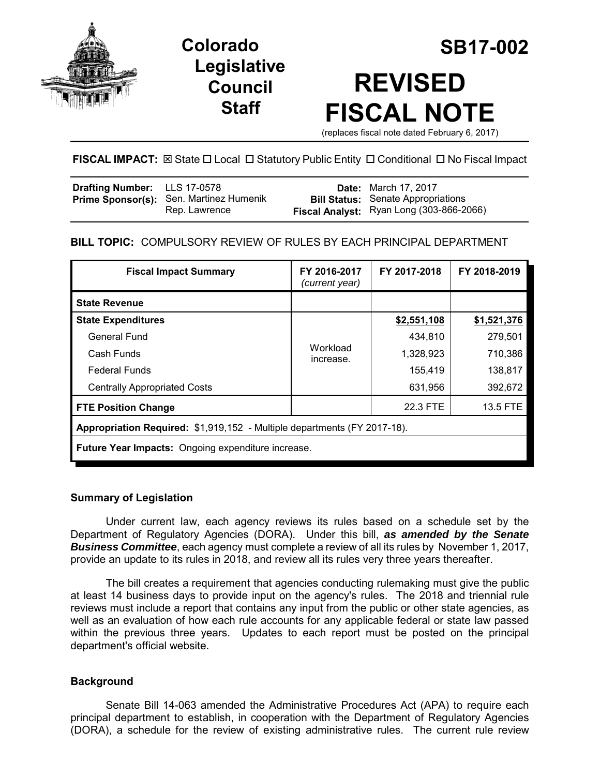

**Legislative Council Staff**



# **REVISED FISCAL NOTE**

(replaces fiscal note dated February 6, 2017)

# **FISCAL IMPACT:** ⊠ State  $\Box$  Local  $\Box$  Statutory Public Entity  $\Box$  Conditional  $\Box$  No Fiscal Impact

| <b>Drafting Number:</b> LLS 17-0578 |                                                          | <b>Date:</b> March 17, 2017                                                           |
|-------------------------------------|----------------------------------------------------------|---------------------------------------------------------------------------------------|
|                                     | Prime Sponsor(s): Sen. Martinez Humenik<br>Rep. Lawrence | <b>Bill Status:</b> Senate Appropriations<br>Fiscal Analyst: Ryan Long (303-866-2066) |
|                                     |                                                          |                                                                                       |

# **BILL TOPIC:** COMPULSORY REVIEW OF RULES BY EACH PRINCIPAL DEPARTMENT

| FY 2016-2017<br>(current year)                                           | FY 2017-2018 | FY 2018-2019 |  |  |
|--------------------------------------------------------------------------|--------------|--------------|--|--|
|                                                                          |              |              |  |  |
| Workload<br>increase.                                                    | \$2,551,108  | \$1,521,376  |  |  |
|                                                                          | 434,810      | 279,501      |  |  |
|                                                                          | 1,328,923    | 710,386      |  |  |
|                                                                          | 155,419      | 138,817      |  |  |
|                                                                          | 631,956      | 392,672      |  |  |
|                                                                          | 22.3 FTE     | 13.5 FTE     |  |  |
| Appropriation Required: \$1,919,152 - Multiple departments (FY 2017-18). |              |              |  |  |
| <b>Future Year Impacts:</b> Ongoing expenditure increase.                |              |              |  |  |
|                                                                          |              |              |  |  |

## **Summary of Legislation**

Under current law, each agency reviews its rules based on a schedule set by the Department of Regulatory Agencies (DORA). Under this bill, *as amended by the Senate Business Committee*, each agency must complete a review of all its rules by November 1, 2017, provide an update to its rules in 2018, and review all its rules very three years thereafter.

The bill creates a requirement that agencies conducting rulemaking must give the public at least 14 business days to provide input on the agency's rules. The 2018 and triennial rule reviews must include a report that contains any input from the public or other state agencies, as well as an evaluation of how each rule accounts for any applicable federal or state law passed within the previous three years. Updates to each report must be posted on the principal department's official website.

## **Background**

Senate Bill 14-063 amended the Administrative Procedures Act (APA) to require each principal department to establish, in cooperation with the Department of Regulatory Agencies (DORA), a schedule for the review of existing administrative rules. The current rule review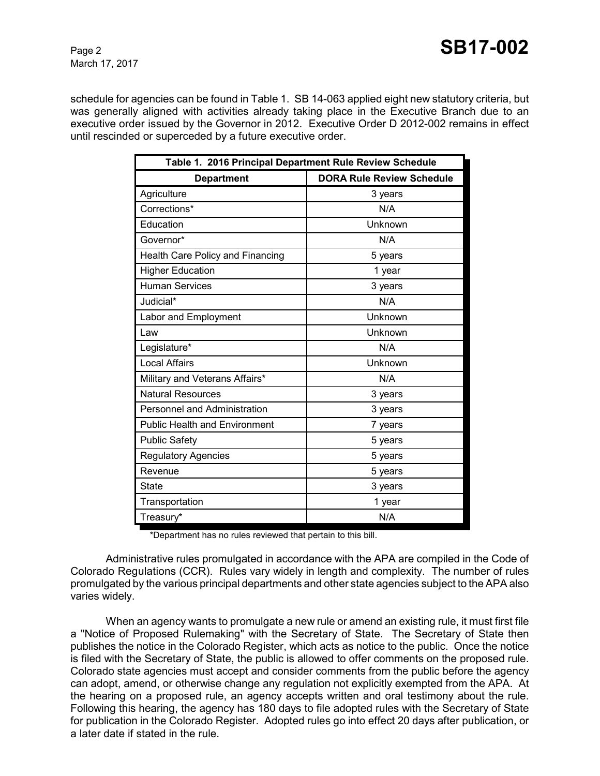Page 2 **SB17-002** 

March 17, 2017

schedule for agencies can be found in Table 1. SB 14-063 applied eight new statutory criteria, but was generally aligned with activities already taking place in the Executive Branch due to an executive order issued by the Governor in 2012. Executive Order D 2012-002 remains in effect until rescinded or superceded by a future executive order.

| Table 1. 2016 Principal Department Rule Review Schedule |                                  |  |  |
|---------------------------------------------------------|----------------------------------|--|--|
| <b>Department</b>                                       | <b>DORA Rule Review Schedule</b> |  |  |
| Agriculture                                             | 3 years                          |  |  |
| Corrections*                                            | N/A                              |  |  |
| Education                                               | Unknown                          |  |  |
| Governor*                                               | N/A                              |  |  |
| Health Care Policy and Financing                        | 5 years                          |  |  |
| <b>Higher Education</b>                                 | 1 year                           |  |  |
| <b>Human Services</b>                                   | 3 years                          |  |  |
| Judicial*                                               | N/A                              |  |  |
| Labor and Employment                                    | Unknown                          |  |  |
| Law                                                     | Unknown                          |  |  |
| Legislature*                                            | N/A                              |  |  |
| <b>Local Affairs</b>                                    | Unknown                          |  |  |
| Military and Veterans Affairs*                          | N/A                              |  |  |
| <b>Natural Resources</b>                                | 3 years                          |  |  |
| Personnel and Administration                            | 3 years                          |  |  |
| <b>Public Health and Environment</b>                    | 7 years                          |  |  |
| <b>Public Safety</b>                                    | 5 years                          |  |  |
| <b>Regulatory Agencies</b>                              | 5 years                          |  |  |
| Revenue                                                 | 5 years                          |  |  |
| State                                                   | 3 years                          |  |  |
| Transportation                                          | 1 year                           |  |  |
| Treasury*                                               | N/A                              |  |  |

\*Department has no rules reviewed that pertain to this bill.

Administrative rules promulgated in accordance with the APA are compiled in the Code of Colorado Regulations (CCR). Rules vary widely in length and complexity. The number of rules promulgated by the various principal departments and other state agencies subject to the APA also varies widely.

When an agency wants to promulgate a new rule or amend an existing rule, it must first file a "Notice of Proposed Rulemaking" with the Secretary of State. The Secretary of State then publishes the notice in the Colorado Register, which acts as notice to the public. Once the notice is filed with the Secretary of State, the public is allowed to offer comments on the proposed rule. Colorado state agencies must accept and consider comments from the public before the agency can adopt, amend, or otherwise change any regulation not explicitly exempted from the APA. At the hearing on a proposed rule, an agency accepts written and oral testimony about the rule. Following this hearing, the agency has 180 days to file adopted rules with the Secretary of State for publication in the Colorado Register. Adopted rules go into effect 20 days after publication, or a later date if stated in the rule.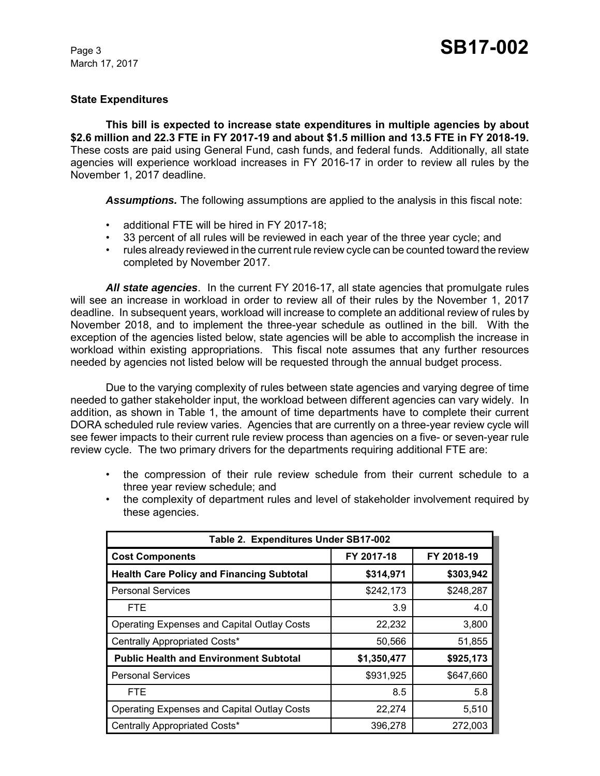## **State Expenditures**

**This bill is expected to increase state expenditures in multiple agencies by about \$2.6 million and 22.3 FTE in FY 2017-19 and about \$1.5 million and 13.5 FTE in FY 2018-19.** These costs are paid using General Fund, cash funds, and federal funds. Additionally, all state agencies will experience workload increases in FY 2016-17 in order to review all rules by the November 1, 2017 deadline.

*Assumptions.* The following assumptions are applied to the analysis in this fiscal note:

- additional FTE will be hired in FY 2017-18;
- 33 percent of all rules will be reviewed in each year of the three year cycle; and
- rules already reviewed in the current rule review cycle can be counted toward the review completed by November 2017.

*All state agencies*. In the current FY 2016-17, all state agencies that promulgate rules will see an increase in workload in order to review all of their rules by the November 1, 2017 deadline. In subsequent years, workload will increase to complete an additional review of rules by November 2018, and to implement the three-year schedule as outlined in the bill. With the exception of the agencies listed below, state agencies will be able to accomplish the increase in workload within existing appropriations. This fiscal note assumes that any further resources needed by agencies not listed below will be requested through the annual budget process.

Due to the varying complexity of rules between state agencies and varying degree of time needed to gather stakeholder input, the workload between different agencies can vary widely. In addition, as shown in Table 1, the amount of time departments have to complete their current DORA scheduled rule review varies. Agencies that are currently on a three-year review cycle will see fewer impacts to their current rule review process than agencies on a five- or seven-year rule review cycle. The two primary drivers for the departments requiring additional FTE are:

- the compression of their rule review schedule from their current schedule to a three year review schedule; and
- the complexity of department rules and level of stakeholder involvement required by these agencies.

| Table 2. Expenditures Under SB17-002               |             |            |  |
|----------------------------------------------------|-------------|------------|--|
| <b>Cost Components</b>                             | FY 2017-18  | FY 2018-19 |  |
| <b>Health Care Policy and Financing Subtotal</b>   | \$314,971   | \$303,942  |  |
| <b>Personal Services</b>                           | \$242,173   | \$248,287  |  |
| <b>FTE</b>                                         | 3.9         | 4.0        |  |
| <b>Operating Expenses and Capital Outlay Costs</b> | 22,232      | 3,800      |  |
| Centrally Appropriated Costs*                      | 50,566      | 51,855     |  |
| <b>Public Health and Environment Subtotal</b>      | \$1,350,477 | \$925,173  |  |
| <b>Personal Services</b>                           | \$931,925   | \$647,660  |  |
| <b>FTE</b>                                         | 8.5         | 5.8        |  |
| <b>Operating Expenses and Capital Outlay Costs</b> | 22,274      | 5,510      |  |
| Centrally Appropriated Costs*                      | 396,278     | 272,003    |  |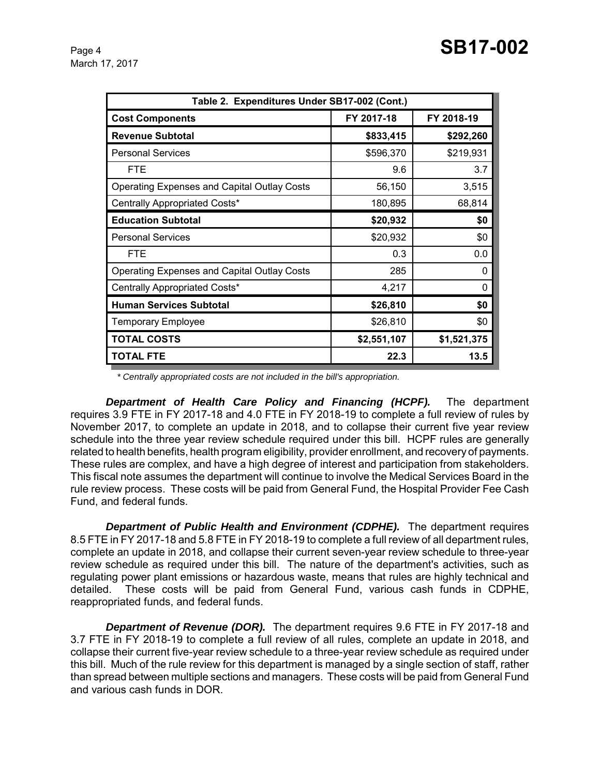| Table 2. Expenditures Under SB17-002 (Cont.)       |             |             |  |
|----------------------------------------------------|-------------|-------------|--|
| <b>Cost Components</b>                             | FY 2017-18  | FY 2018-19  |  |
| <b>Revenue Subtotal</b>                            | \$833,415   | \$292,260   |  |
| <b>Personal Services</b>                           | \$596,370   | \$219,931   |  |
| <b>FTE</b>                                         | 9.6         | 3.7         |  |
| <b>Operating Expenses and Capital Outlay Costs</b> | 56,150      | 3,515       |  |
| Centrally Appropriated Costs*                      | 180,895     | 68,814      |  |
| <b>Education Subtotal</b>                          | \$20,932    | \$0         |  |
| <b>Personal Services</b>                           | \$20,932    | \$0         |  |
| <b>FTE</b>                                         | 0.3         | 0.0         |  |
| <b>Operating Expenses and Capital Outlay Costs</b> | 285         | $\Omega$    |  |
| Centrally Appropriated Costs*                      | 4,217       | 0           |  |
| <b>Human Services Subtotal</b>                     | \$26,810    | \$0         |  |
| <b>Temporary Employee</b>                          | \$26,810    | \$0         |  |
| <b>TOTAL COSTS</b>                                 | \$2,551,107 | \$1,521,375 |  |
| <b>TOTAL FTE</b>                                   | 22.3        | 13.5        |  |

 *\* Centrally appropriated costs are not included in the bill's appropriation.*

*Department of Health Care Policy and Financing (HCPF).* The department requires 3.9 FTE in FY 2017-18 and 4.0 FTE in FY 2018-19 to complete a full review of rules by November 2017, to complete an update in 2018, and to collapse their current five year review schedule into the three year review schedule required under this bill. HCPF rules are generally related to health benefits, health program eligibility, provider enrollment, and recovery of payments. These rules are complex, and have a high degree of interest and participation from stakeholders. This fiscal note assumes the department will continue to involve the Medical Services Board in the rule review process. These costs will be paid from General Fund, the Hospital Provider Fee Cash Fund, and federal funds.

*Department of Public Health and Environment (CDPHE).* The department requires 8.5 FTE in FY 2017-18 and 5.8 FTE in FY 2018-19 to complete a full review of all department rules, complete an update in 2018, and collapse their current seven-year review schedule to three-year review schedule as required under this bill. The nature of the department's activities, such as regulating power plant emissions or hazardous waste, means that rules are highly technical and detailed. These costs will be paid from General Fund, various cash funds in CDPHE, reappropriated funds, and federal funds.

*Department of Revenue (DOR).* The department requires 9.6 FTE in FY 2017-18 and 3.7 FTE in FY 2018-19 to complete a full review of all rules, complete an update in 2018, and collapse their current five-year review schedule to a three-year review schedule as required under this bill. Much of the rule review for this department is managed by a single section of staff, rather than spread between multiple sections and managers. These costs will be paid from General Fund and various cash funds in DOR.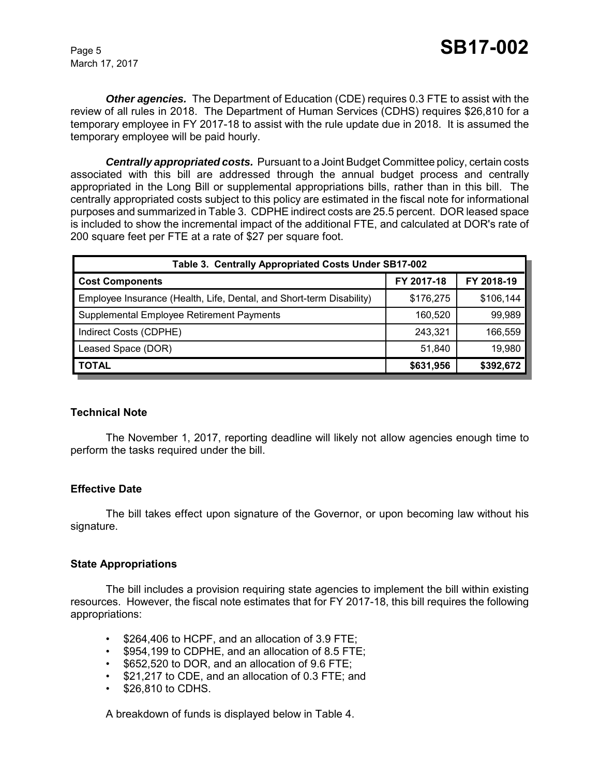*Other agencies.* The Department of Education (CDE) requires 0.3 FTE to assist with the review of all rules in 2018. The Department of Human Services (CDHS) requires \$26,810 for a temporary employee in FY 2017-18 to assist with the rule update due in 2018. It is assumed the temporary employee will be paid hourly.

*Centrally appropriated costs.* Pursuant to a Joint Budget Committee policy, certain costs associated with this bill are addressed through the annual budget process and centrally appropriated in the Long Bill or supplemental appropriations bills, rather than in this bill. The centrally appropriated costs subject to this policy are estimated in the fiscal note for informational purposes and summarized in Table 3. CDPHE indirect costs are 25.5 percent. DOR leased space is included to show the incremental impact of the additional FTE, and calculated at DOR's rate of 200 square feet per FTE at a rate of \$27 per square foot.

| Table 3. Centrally Appropriated Costs Under SB17-002                 |            |            |  |
|----------------------------------------------------------------------|------------|------------|--|
| <b>Cost Components</b>                                               | FY 2017-18 | FY 2018-19 |  |
| Employee Insurance (Health, Life, Dental, and Short-term Disability) | \$176,275  | \$106,144  |  |
| Supplemental Employee Retirement Payments                            | 160.520    | 99,989     |  |
| Indirect Costs (CDPHE)                                               | 243,321    | 166,559    |  |
| Leased Space (DOR)                                                   | 51,840     | 19,980     |  |
| <b>TOTAL</b>                                                         | \$631,956  | \$392,672  |  |

## **Technical Note**

The November 1, 2017, reporting deadline will likely not allow agencies enough time to perform the tasks required under the bill.

## **Effective Date**

The bill takes effect upon signature of the Governor, or upon becoming law without his signature.

## **State Appropriations**

The bill includes a provision requiring state agencies to implement the bill within existing resources. However, the fiscal note estimates that for FY 2017-18, this bill requires the following appropriations:

- \$264,406 to HCPF, and an allocation of 3.9 FTE;
- \$954,199 to CDPHE, and an allocation of 8.5 FTE;
- \$652,520 to DOR, and an allocation of 9.6 FTE;
- \$21,217 to CDE, and an allocation of 0.3 FTE; and
- \$26,810 to CDHS.

A breakdown of funds is displayed below in Table 4.